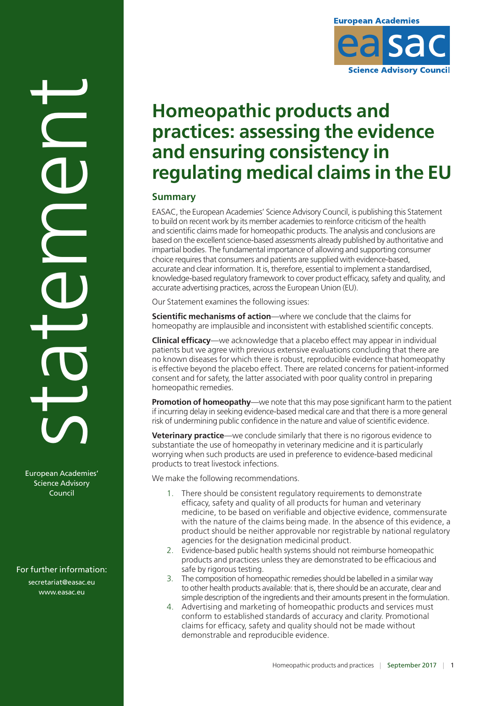

# **Homeopathic products and practices: assessing the evidence and ensuring consistency in regulating medical claims in the EU**

## **Summary**

EASAC, the European Academies' Science Advisory Council, is publishing this Statement to build on recent work by its member academies to reinforce criticism of the health and scientific claims made for homeopathic products. The analysis and conclusions are based on the excellent science-based assessments already published by authoritative and impartial bodies. The fundamental importance of allowing and supporting consumer choice requires that consumers and patients are supplied with evidence-based, accurate and clear information. It is, therefore, essential to implement a standardised, knowledge-based regulatory framework to cover product efficacy, safety and quality, and accurate advertising practices, across the European Union (EU).

Our Statement examines the following issues:

**Scientific mechanisms of action**—where we conclude that the claims for homeopathy are implausible and inconsistent with established scientific concepts.

**Clinical efficacy**—we acknowledge that a placebo effect may appear in individual patients but we agree with previous extensive evaluations concluding that there are no known diseases for which there is robust, reproducible evidence that homeopathy is effective beyond the placebo effect. There are related concerns for patient-informed consent and for safety, the latter associated with poor quality control in preparing homeopathic remedies.

**Promotion of homeopathy**—we note that this may pose significant harm to the patient if incurring delay in seeking evidence-based medical care and that there is a more general risk of undermining public confidence in the nature and value of scientific evidence.

**Veterinary practice**—we conclude similarly that there is no rigorous evidence to substantiate the use of homeopathy in veterinary medicine and it is particularly worrying when such products are used in preference to evidence-based medicinal products to treat livestock infections.

We make the following recommendations.

- 1. There should be consistent regulatory requirements to demonstrate efficacy, safety and quality of all products for human and veterinary medicine, to be based on verifiable and objective evidence, commensurate with the nature of the claims being made. In the absence of this evidence, a product should be neither approvable nor registrable by national regulatory agencies for the designation medicinal product.
- 2. Evidence-based public health systems should not reimburse homeopathic products and practices unless they are demonstrated to be efficacious and safe by rigorous testing.
- 3. The composition of homeopathic remedies should be labelled in a similar way to other health products available: that is, there should be an accurate, clear and simple description of the ingredients and their amounts present in the formulation.
- 4. Advertising and marketing of homeopathic products and services must conform to established standards of accuracy and clarity. Promotional claims for efficacy, safety and quality should not be made without demonstrable and reproducible evidence.

statement

European Academies' Science Advisory Council

## For further information:

secretariat@easac.eu www.easac.eu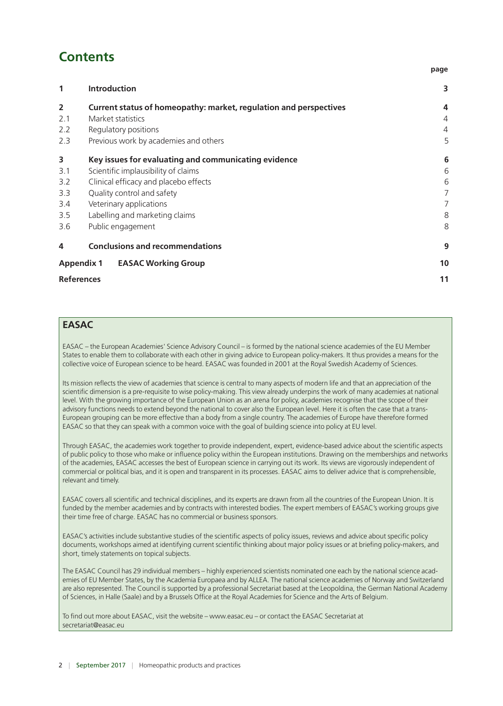# **Contents**

## **1 [Introduction](#page-2-0) 3 2 [Current status of homeopathy: market, regulation and perspectives](#page-3-0) 4** 2.1 [Market statistics](#page-3-0) 4 2.2 [Regulatory positions](#page-3-0) 4 2.3 [Previous work by academies and others](#page-4-0) 5 **3 [Key issues for evaluating and communicating evidence](#page-5-0) 6** 3.1 [Scientific implausibility of claims](#page-5-0) 6 3.2 [Clinical efficacy and placebo effects](#page-5-0) 6 3.3 [Quality control and safety](#page-6-0) 7 3.4 [Veterinary applications](#page-6-0) 7 3.5 [Labelling and marketing claims](#page-7-0) 8 3.6 [Public engagement](#page-7-0) 8 **4 [Conclusions and recommendations](#page-8-0) 9 Appendix 1 [EASAC Working Group](#page-9-0) 10 [References](#page-10-0) 11**

## **EASAC**

EASAC – the European Academies' Science Advisory Council – is formed by the national science academies of the EU Member States to enable them to collaborate with each other in giving advice to European policy-makers. It thus provides a means for the collective voice of European science to be heard. EASAC was founded in 2001 at the Royal Swedish Academy of Sciences.

Its mission reflects the view of academies that science is central to many aspects of modern life and that an appreciation of the scientific dimension is a pre-requisite to wise policy-making. This view already underpins the work of many academies at national level. With the growing importance of the European Union as an arena for policy, academies recognise that the scope of their advisory functions needs to extend beyond the national to cover also the European level. Here it is often the case that a trans-European grouping can be more effective than a body from a single country. The academies of Europe have therefore formed EASAC so that they can speak with a common voice with the goal of building science into policy at EU level.

Through EASAC, the academies work together to provide independent, expert, evidence-based advice about the scientific aspects of public policy to those who make or influence policy within the European institutions. Drawing on the memberships and networks of the academies, EASAC accesses the best of European science in carrying out its work. Its views are vigorously independent of commercial or political bias, and it is open and transparent in its processes. EASAC aims to deliver advice that is comprehensible, relevant and timely.

EASAC covers all scientific and technical disciplines, and its experts are drawn from all the countries of the European Union. It is funded by the member academies and by contracts with interested bodies. The expert members of EASAC's working groups give their time free of charge. EASAC has no commercial or business sponsors.

EASAC's activities include substantive studies of the scientific aspects of policy issues, reviews and advice about specific policy documents, workshops aimed at identifying current scientific thinking about major policy issues or at briefing policy-makers, and short, timely statements on topical subjects.

The EASAC Council has 29 individual members – highly experienced scientists nominated one each by the national science academies of EU Member States, by the Academia Europaea and by ALLEA. The national science academies of Norway and Switzerland are also represented. The Council is supported by a professional Secretariat based at the Leopoldina, the German National Academy of Sciences, in Halle (Saale) and by a Brussels Office at the Royal Academies for Science and the Arts of Belgium.

To find out more about EASAC, visit the website – www.easac.eu – or contact the EASAC Secretariat at secretariat@easac.eu

**page**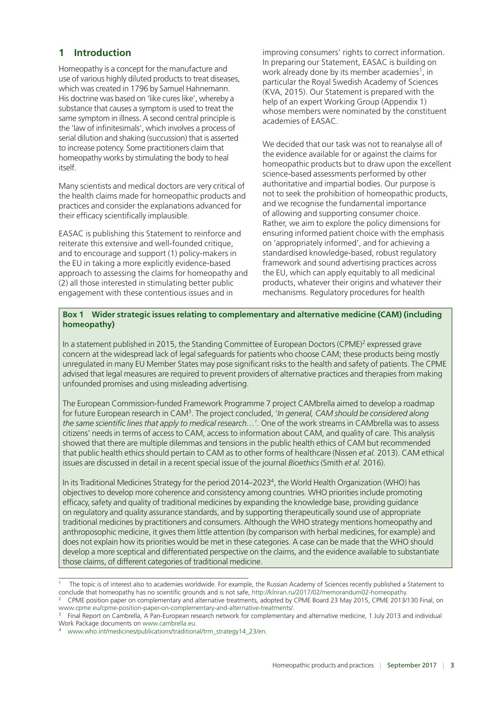## <span id="page-2-0"></span>**1 Introduction**

Homeopathy is a concept for the manufacture and use of various highly diluted products to treat diseases, which was created in 1796 by Samuel Hahnemann. His doctrine was based on 'like cures like', whereby a substance that causes a symptom is used to treat the same symptom in illness. A second central principle is the 'law of infinitesimals', which involves a process of serial dilution and shaking (succussion) that is asserted to increase potency. Some practitioners claim that homeopathy works by stimulating the body to heal itself.

Many scientists and medical doctors are very critical of the health claims made for homeopathic products and practices and consider the explanations advanced for their efficacy scientifically implausible.

EASAC is publishing this Statement to reinforce and reiterate this extensive and well-founded critique, and to encourage and support (1) policy-makers in the EU in taking a more explicitly evidence-based approach to assessing the claims for homeopathy and (2) all those interested in stimulating better public engagement with these contentious issues and in

improving consumers' rights to correct information. In preparing our Statement, EASAC is building on work already done by its member academies<sup>1</sup>, in particular the Royal Swedish Academy of Sciences (KVA, 2015). Our Statement is prepared with the help of an expert Working Group (Appendix 1) whose members were nominated by the constituent academies of EASAC.

We decided that our task was not to reanalyse all of the evidence available for or against the claims for homeopathic products but to draw upon the excellent science-based assessments performed by other authoritative and impartial bodies. Our purpose is not to seek the prohibition of homeopathic products, and we recognise the fundamental importance of allowing and supporting consumer choice. Rather, we aim to explore the policy dimensions for ensuring informed patient choice with the emphasis on 'appropriately informed', and for achieving a standardised knowledge-based, robust regulatory framework and sound advertising practices across the EU, which can apply equitably to all medicinal products, whatever their origins and whatever their mechanisms. Regulatory procedures for health

#### **Box 1 Wider strategic issues relating to complementary and alternative medicine (CAM) (including homeopathy)**

In a statement published in 2015, the Standing Committee of European Doctors (CPME)<sup>2</sup> expressed grave concern at the widespread lack of legal safeguards for patients who choose CAM; these products being mostly unregulated in many EU Member States may pose significant risks to the health and safety of patients. The CPME advised that legal measures are required to prevent providers of alternative practices and therapies from making unfounded promises and using misleading advertising.

The European Commission-funded Framework Programme 7 project CAMbrella aimed to develop a roadmap for future European research in CAM3. The project concluded, '*In general, CAM should be considered along the same scientific lines that apply to medical research…*'*.* One of the work streams in CAMbrella was to assess citizens' needs in terms of access to CAM, access to information about CAM, and quality of care. This analysis showed that there are multiple dilemmas and tensions in the public health ethics of CAM but recommended that public health ethics should pertain to CAM as to other forms of healthcare (Nissen *et al.* 2013). CAM ethical issues are discussed in detail in a recent special issue of the journal *Bioethics* (Smith *et al.* 2016).

In its Traditional Medicines Strategy for the period 2014–20234, the World Health Organization (WHO) has objectives to develop more coherence and consistency among countries. WHO priorities include promoting efficacy, safety and quality of traditional medicines by expanding the knowledge base, providing guidance on regulatory and quality assurance standards, and by supporting therapeutically sound use of appropriate traditional medicines by practitioners and consumers. Although the WHO strategy mentions homeopathy and anthroposophic medicine, it gives them little attention (by comparison with herbal medicines, for example) and does not explain how its priorities would be met in these categories. A case can be made that the WHO should develop a more sceptical and differentiated perspective on the claims, and the evidence available to substantiate those claims, of different categories of traditional medicine.

<sup>1</sup> The topic is of interest also to academies worldwide. For example, the Russian Academy of Sciences recently published a Statement to conclude that homeopathy has no scientific grounds and is not safe, http://klnran.ru/2017/02/memorandum02-homeopathy.

<sup>2</sup> CPME position paper on complementary and alternative treatments, adopted by CPME Board 23 May 2015, CPME 2013/130 Final, on www.cpme.eu/cpme-position-paper-on-complementary-and-alternative-treatments/.

<sup>3</sup> Final Report on Cambrella, A Pan-European research network for complementary and alternative medicine, 1 July 2013 and individual Work Package documents on www.cambrella.eu.

[www.who.int/medicines/publications/traditional/trm\\_strategy14\\_23/en.](www.who.int/medicines/publications/traditional/trm_strategy14_23/en)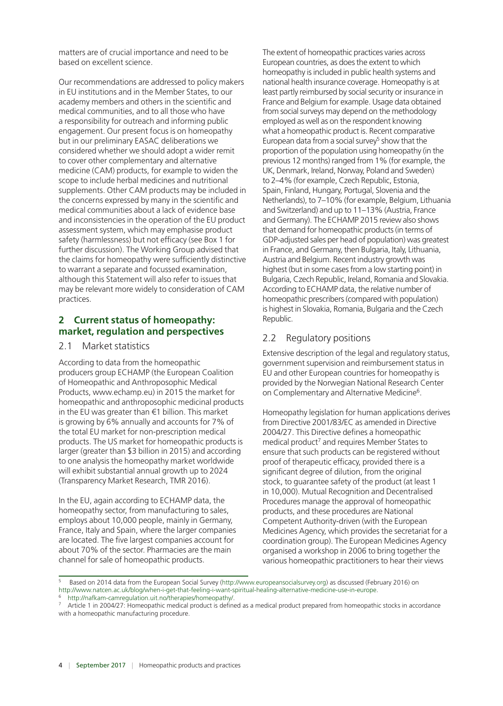<span id="page-3-0"></span>matters are of crucial importance and need to be based on excellent science.

Our recommendations are addressed to policy makers in EU institutions and in the Member States, to our academy members and others in the scientific and medical communities, and to all those who have a responsibility for outreach and informing public engagement. Our present focus is on homeopathy but in our preliminary EASAC deliberations we considered whether we should adopt a wider remit to cover other complementary and alternative medicine (CAM) products, for example to widen the scope to include herbal medicines and nutritional supplements. Other CAM products may be included in the concerns expressed by many in the scientific and medical communities about a lack of evidence base and inconsistencies in the operation of the EU product assessment system, which may emphasise product safety (harmlessness) but not efficacy (see Box 1 for further discussion). The Working Group advised that the claims for homeopathy were sufficiently distinctive to warrant a separate and focussed examination, although this Statement will also refer to issues that may be relevant more widely to consideration of CAM practices.

## **2 Current status of homeopathy: market, regulation and perspectives**

#### 2.1 Market statistics

According to data from the homeopathic producers group ECHAMP (the European Coalition of Homeopathic and Anthroposophic Medical Products, www.echamp.eu) in 2015 the market for homeopathic and anthroposophic medicinal products in the EU was greater than €1 billion. This market is growing by 6% annually and accounts for 7% of the total EU market for non-prescription medical products. The US market for homeopathic products is larger (greater than \$3 billion in 2015) and according to one analysis the homeopathy market worldwide will exhibit substantial annual growth up to 2024 (Transparency Market Research, TMR 2016).

In the EU, again according to ECHAMP data, the homeopathy sector, from manufacturing to sales, employs about 10,000 people, mainly in Germany, France, Italy and Spain, where the larger companies are located. The five largest companies account for about 70% of the sector. Pharmacies are the main channel for sale of homeopathic products.

The extent of homeopathic practices varies across European countries, as does the extent to which homeopathy is included in public health systems and national health insurance coverage. Homeopathy is at least partly reimbursed by social security or insurance in France and Belgium for example. Usage data obtained from social surveys may depend on the methodology employed as well as on the respondent knowing what a homeopathic product is. Recent comparative European data from a social survey<sup>5</sup> show that the proportion of the population using homeopathy (in the previous 12 months) ranged from 1% (for example, the UK, Denmark, Ireland, Norway, Poland and Sweden) to 2–4% (for example, Czech Republic, Estonia, Spain, Finland, Hungary, Portugal, Slovenia and the Netherlands), to 7–10% (for example, Belgium, Lithuania and Switzerland) and up to 11–13% (Austria, France and Germany). The ECHAMP 2015 review also shows that demand for homeopathic products (in terms of GDP-adjusted sales per head of population) was greatest in France, and Germany, then Bulgaria, Italy, Lithuania, Austria and Belgium. Recent industry growth was highest (but in some cases from a low starting point) in Bulgaria, Czech Republic, Ireland, Romania and Slovakia. According to ECHAMP data, the relative number of homeopathic prescribers (compared with population) is highest in Slovakia, Romania, Bulgaria and the Czech Republic.

## 2.2 Regulatory positions

Extensive description of the legal and regulatory status, government supervision and reimbursement status in EU and other European countries for homeopathy is provided by the Norwegian National Research Center on Complementary and Alternative Medicine<sup>6</sup>.

Homeopathy legislation for human applications derives from Directive 2001/83/EC as amended in Directive 2004/27. This Directive defines a homeopathic medical product<sup>7</sup> and requires Member States to ensure that such products can be registered without proof of therapeutic efficacy, provided there is a significant degree of dilution, from the original stock, to guarantee safety of the product (at least 1 in 10,000). Mutual Recognition and Decentralised Procedures manage the approval of homeopathic products, and these procedures are National Competent Authority-driven (with the European Medicines Agency, which provides the secretariat for a coordination group). The European Medicines Agency organised a workshop in 2006 to bring together the various homeopathic practitioners to hear their views

<sup>5</sup> Based on 2014 data from the European Social Survey (http://www.europeansocialsurvey.org) as discussed (February 2016) on http://www.natcen.ac.uk/blog/when-i-get-that-feeling-i-want-spiritual-healing-alternative-medicine-use-in-europe.

http://nafkam-camregulation.uit.no/therapies/homeopathy/.

 $7$  Article 1 in 2004/27: Homeopathic medical product is defined as a medical product prepared from homeopathic stocks in accordance with a homeopathic manufacturing procedure.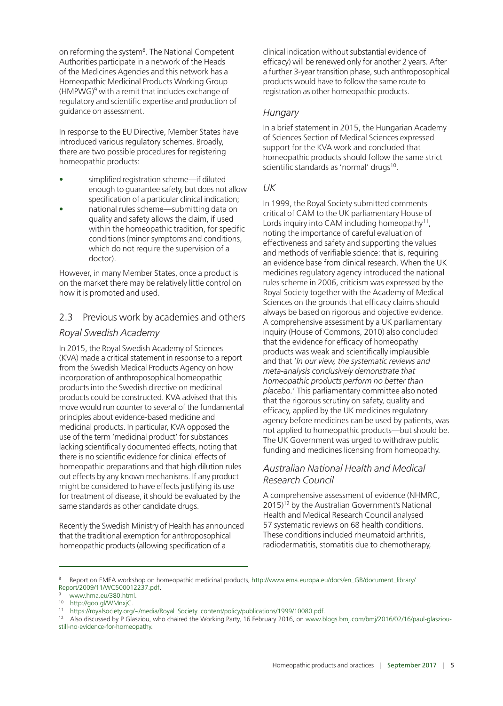<span id="page-4-0"></span>on reforming the system<sup>8</sup>. The National Competent Authorities participate in a network of the Heads of the Medicines Agencies and this network has a Homeopathic Medicinal Products Working Group  $(HMPWG)<sup>9</sup>$  with a remit that includes exchange of regulatory and scientific expertise and production of guidance on assessment.

In response to the EU Directive, Member States have introduced various regulatory schemes. Broadly, there are two possible procedures for registering homeopathic products:

- simplified registration scheme—if diluted enough to guarantee safety, but does not allow specification of a particular clinical indication;
- national rules scheme—submitting data on quality and safety allows the claim, if used within the homeopathic tradition, for specific conditions (minor symptoms and conditions, which do not require the supervision of a doctor).

However, in many Member States, once a product is on the market there may be relatively little control on how it is promoted and used.

## 2.3 Previous work by academies and others

## *Royal Swedish Academy*

In 2015, the Royal Swedish Academy of Sciences (KVA) made a critical statement in response to a report from the Swedish Medical Products Agency on how incorporation of anthroposophical homeopathic products into the Swedish directive on medicinal products could be constructed. KVA advised that this move would run counter to several of the fundamental principles about evidence-based medicine and medicinal products. In particular, KVA opposed the use of the term 'medicinal product' for substances lacking scientifically documented effects, noting that there is no scientific evidence for clinical effects of homeopathic preparations and that high dilution rules out effects by any known mechanisms. If any product might be considered to have effects justifying its use for treatment of disease, it should be evaluated by the same standards as other candidate drugs.

Recently the Swedish Ministry of Health has announced that the traditional exemption for anthroposophical homeopathic products (allowing specification of a

clinical indication without substantial evidence of efficacy) will be renewed only for another 2 years. After a further 3-year transition phase, such anthroposophical products would have to follow the same route to registration as other homeopathic products.

## *Hungary*

In a brief statement in 2015, the Hungarian Academy of Sciences Section of Medical Sciences expressed support for the KVA work and concluded that homeopathic products should follow the same strict scientific standards as 'normal' drugs<sup>10</sup>.

#### *UK*

In 1999, the Royal Society submitted comments critical of CAM to the UK parliamentary House of Lords inquiry into CAM including homeopathy $11$ , noting the importance of careful evaluation of effectiveness and safety and supporting the values and methods of verifiable science: that is, requiring an evidence base from clinical research. When the UK medicines regulatory agency introduced the national rules scheme in 2006, criticism was expressed by the Royal Society together with the Academy of Medical Sciences on the grounds that efficacy claims should always be based on rigorous and objective evidence. A comprehensive assessment by a UK parliamentary inquiry (House of Commons, 2010) also concluded that the evidence for efficacy of homeopathy products was weak and scientifically implausible and that '*In our view, the systematic reviews and meta-analysis conclusively demonstrate that homeopathic products perform no better than placebo.*' This parliamentary committee also noted that the rigorous scrutiny on safety, quality and efficacy, applied by the UK medicines regulatory agency before medicines can be used by patients, was not applied to homeopathic products—but should be. The UK Government was urged to withdraw public funding and medicines licensing from homeopathy.

#### *Australian National Health and Medical Research Council*

A comprehensive assessment of evidence (NHMRC, 2015)<sup>12</sup> by the Australian Government's National Health and Medical Research Council analysed 57 systematic reviews on 68 health conditions. These conditions included rheumatoid arthritis, radiodermatitis, stomatitis due to chemotherapy,

Report on EMEA workshop on homeopathic medicinal products, http://www.ema.europa.eu/docs/en\_GB/document\_library/ Report/2009/11/WC500012237.pdf.

<sup>9</sup> www.hma.eu/380.html.

<sup>10</sup> http://goo.gl/WMnxjC.

<sup>11</sup> https://royalsociety.org/~/media/Royal\_Society\_content/policy/publications/1999/10080.pdf.

<sup>12</sup> Also discussed by P Glasziou, who chaired the Working Party, 16 February 2016, o[n www.blogs.bmj.com/bmj/2016/02/16/paul-glasziou](www.blogs.bmj.com/bmj/2016/02/16/paul-glasziou-still-no-evidence-for-homeopathy)[still-no-evidence-for-homeopathy.](www.blogs.bmj.com/bmj/2016/02/16/paul-glasziou-still-no-evidence-for-homeopathy)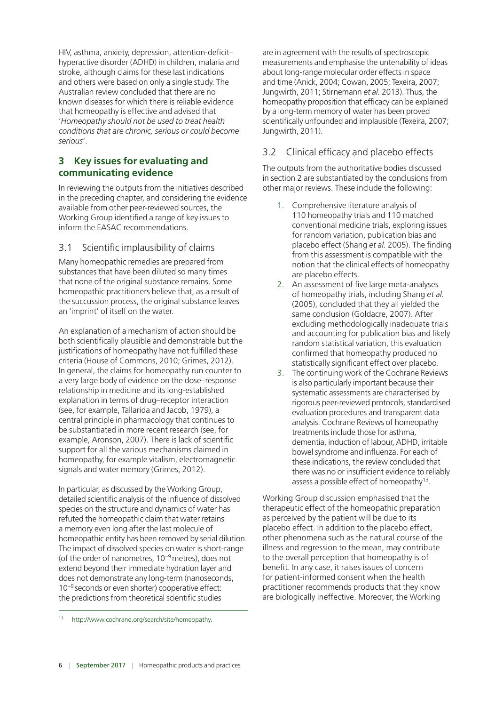<span id="page-5-0"></span>HIV, asthma, anxiety, depression, attention-deficit– hyperactive disorder (ADHD) in children, malaria and stroke, although claims for these last indications and others were based on only a single study. The Australian review concluded that there are no known diseases for which there is reliable evidence that homeopathy is effective and advised that '*Homeopathy should not be used to treat health conditions that are chronic, serious or could become serious*'.

## **3 Key issues for evaluating and communicating evidence**

In reviewing the outputs from the initiatives described in the preceding chapter, and considering the evidence available from other peer-reviewed sources, the Working Group identified a range of key issues to inform the EASAC recommendations.

## 3.1 Scientific implausibility of claims

Many homeopathic remedies are prepared from substances that have been diluted so many times that none of the original substance remains. Some homeopathic practitioners believe that, as a result of the succussion process, the original substance leaves an 'imprint' of itself on the water.

An explanation of a mechanism of action should be both scientifically plausible and demonstrable but the justifications of homeopathy have not fulfilled these criteria (House of Commons, 2010; Grimes, 2012). In general, the claims for homeopathy run counter to a very large body of evidence on the dose–response relationship in medicine and its long-established explanation in terms of drug–receptor interaction (see, for example, Tallarida and Jacob, 1979), a central principle in pharmacology that continues to be substantiated in more recent research (see, for example, Aronson, 2007). There is lack of scientific support for all the various mechanisms claimed in homeopathy, for example vitalism, electromagnetic signals and water memory (Grimes, 2012).

In particular, as discussed by the Working Group, detailed scientific analysis of the influence of dissolved species on the structure and dynamics of water has refuted the homeopathic claim that water retains a memory even long after the last molecule of homeopathic entity has been removed by serial dilution. The impact of dissolved species on water is short-range (of the order of nanometres, 10−9 metres), does not extend beyond their immediate hydration layer and does not demonstrate any long-term (nanoseconds, 10−9 seconds or even shorter) cooperative effect: the predictions from theoretical scientific studies

are in agreement with the results of spectroscopic measurements and emphasise the untenability of ideas about long-range molecular order effects in space and time (Anick, 2004; Cowan, 2005; Texeira, 2007; Jungwirth, 2011; Stirnemann *et al.* 2013). Thus, the homeopathy proposition that efficacy can be explained by a long-term memory of water has been proved scientifically unfounded and implausible (Texeira, 2007; Jungwirth, 2011).

## 3.2 Clinical efficacy and placebo effects

The outputs from the authoritative bodies discussed in section 2 are substantiated by the conclusions from other major reviews. These include the following:

- 1. Comprehensive literature analysis of 110 homeopathy trials and 110 matched conventional medicine trials, exploring issues for random variation, publication bias and placebo effect (Shang *et al.* 2005). The finding from this assessment is compatible with the notion that the clinical effects of homeopathy are placebo effects.
- 2. An assessment of five large meta-analyses of homeopathy trials, including Shang *et al.* (2005), concluded that they all yielded the same conclusion (Goldacre, 2007). After excluding methodologically inadequate trials and accounting for publication bias and likely random statistical variation, this evaluation confirmed that homeopathy produced no statistically significant effect over placebo.
- 3. The continuing work of the Cochrane Reviews is also particularly important because their systematic assessments are characterised by rigorous peer-reviewed protocols, standardised evaluation procedures and transparent data analysis. Cochrane Reviews of homeopathy treatments include those for asthma, dementia, induction of labour, ADHD, irritable bowel syndrome and influenza. For each of these indications, the review concluded that there was no or insufficient evidence to reliably assess a possible effect of homeopathy<sup>13</sup>.

Working Group discussion emphasised that the therapeutic effect of the homeopathic preparation as perceived by the patient will be due to its placebo effect. In addition to the placebo effect, other phenomena such as the natural course of the illness and regression to the mean, may contribute to the overall perception that homeopathy is of benefit. In any case, it raises issues of concern for patient-informed consent when the health practitioner recommends products that they know are biologically ineffective. Moreover, the Working

[http://www.cochrane.org/search/site/homeopathy.](http://www.cochrane.org/search/site/homeopathy)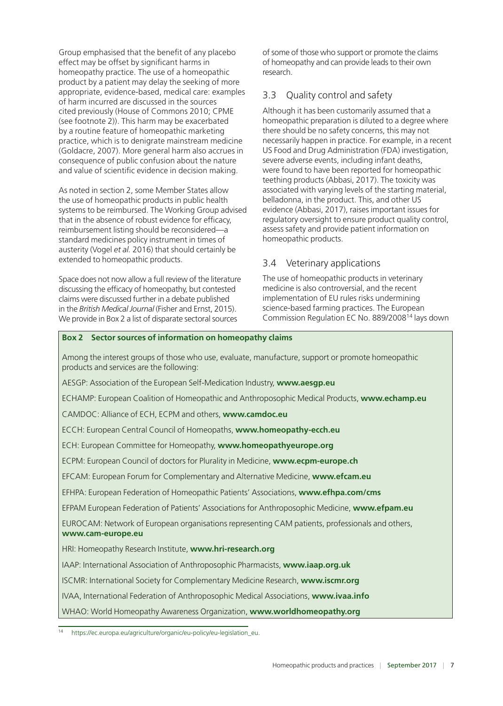<span id="page-6-0"></span>Group emphasised that the benefit of any placebo effect may be offset by significant harms in homeopathy practice. The use of a homeopathic product by a patient may delay the seeking of more appropriate, evidence-based, medical care: examples of harm incurred are discussed in the sources cited previously (House of Commons 2010; CPME (see footnote 2)). This harm may be exacerbated by a routine feature of homeopathic marketing practice, which is to denigrate mainstream medicine (Goldacre, 2007). More general harm also accrues in consequence of public confusion about the nature and value of scientific evidence in decision making.

As noted in section 2, some Member States allow the use of homeopathic products in public health systems to be reimbursed. The Working Group advised that in the absence of robust evidence for efficacy, reimbursement listing should be reconsidered—a standard medicines policy instrument in times of austerity (Vogel *et al.* 2016) that should certainly be extended to homeopathic products.

Space does not now allow a full review of the literature discussing the efficacy of homeopathy, but contested claims were discussed further in a debate published in the *British Medical Journal* (Fisher and Ernst, 2015). We provide in Box 2 a list of disparate sectoral sources

of some of those who support or promote the claims of homeopathy and can provide leads to their own research.

## 3.3 Quality control and safety

Although it has been customarily assumed that a homeopathic preparation is diluted to a degree where there should be no safety concerns, this may not necessarily happen in practice. For example, in a recent US Food and Drug Administration (FDA) investigation, severe adverse events, including infant deaths, were found to have been reported for homeopathic teething products (Abbasi, 2017). The toxicity was associated with varying levels of the starting material, belladonna, in the product. This, and other US evidence (Abbasi, 2017), raises important issues for regulatory oversight to ensure product quality control, assess safety and provide patient information on homeopathic products.

## 3.4 Veterinary applications

The use of homeopathic products in veterinary medicine is also controversial, and the recent implementation of EU rules risks undermining science-based farming practices. The European Commission Regulation EC No. 889/200814 lays down

#### **Box 2 Sector sources of information on homeopathy claims**

Among the interest groups of those who use, evaluate, manufacture, support or promote homeopathic products and services are the following:

AESGP: Association of the European Self-Medication Industry, **www.aesgp.eu**

ECHAMP: European Coalition of Homeopathic and Anthroposophic Medical Products, **www.echamp.eu**

CAMDOC: Alliance of ECH, ECPM and others, **www.camdoc.eu**

ECCH: European Central Council of Homeopaths, **www.homeopathy-ecch.eu**

ECH: European Committee for Homeopathy, **www.homeopathyeurope.org**

ECPM: European Council of doctors for Plurality in Medicine, **www.ecpm-europe.ch**

EFCAM: European Forum for Complementary and Alternative Medicine, **www.efcam.eu**

EFHPA: European Federation of Homeopathic Patients' Associations, **www.efhpa.com/cms**

EFPAM European Federation of Patients' Associations for Anthroposophic Medicine, **www.efpam.eu**

EUROCAM: Network of European organisations representing CAM patients, professionals and others, **www.cam-europe.eu**

HRI: Homeopathy Research Institute, **www.hri-research.org**

IAAP: International Association of Anthroposophic Pharmacists, **www.iaap.org.uk**

ISCMR: International Society for Complementary Medicine Research, **www.iscmr.org**

IVAA, International Federation of Anthroposophic Medical Associations, **www.ivaa.info**

WHAO: World Homeopathy Awareness Organization, **www.worldhomeopathy.org**

<sup>14</sup> [https://ec.europa.eu/agriculture/organic/eu-policy/eu-legislation\\_eu.](https://ec.europa.eu/agriculture/organic/eu-policy/eu-legislation_eu)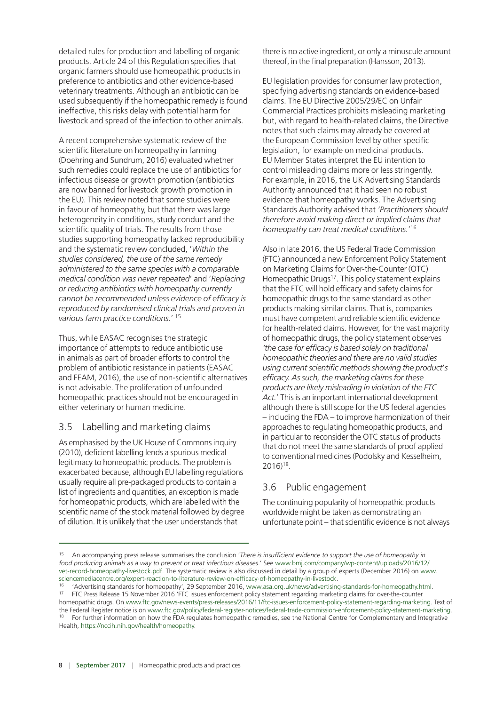<span id="page-7-0"></span>detailed rules for production and labelling of organic products. Article 24 of this Regulation specifies that organic farmers should use homeopathic products in preference to antibiotics and other evidence-based veterinary treatments. Although an antibiotic can be used subsequently if the homeopathic remedy is found ineffective, this risks delay with potential harm for livestock and spread of the infection to other animals.

A recent comprehensive systematic review of the scientific literature on homeopathy in farming (Doehring and Sundrum, 2016) evaluated whether such remedies could replace the use of antibiotics for infectious disease or growth promotion (antibiotics are now banned for livestock growth promotion in the EU). This review noted that some studies were in favour of homeopathy, but that there was large heterogeneity in conditions, study conduct and the scientific quality of trials. The results from those studies supporting homeopathy lacked reproducibility and the systematic review concluded, '*Within the studies considered, the use of the same remedy administered to the same species with a comparable medical condition was never repeated*' and '*Replacing or reducing antibiotics with homeopathy currently cannot be recommended unless evidence of efficacy is reproduced by randomised clinical trials and proven in various farm practice conditions.*' 15

Thus, while EASAC recognises the strategic importance of attempts to reduce antibiotic use in animals as part of broader efforts to control the problem of antibiotic resistance in patients (EASAC and FEAM, 2016), the use of non-scientific alternatives is not advisable. The proliferation of unfounded homeopathic practices should not be encouraged in either veterinary or human medicine.

#### 3.5 Labelling and marketing claims

As emphasised by the UK House of Commons inquiry (2010), deficient labelling lends a spurious medical legitimacy to homeopathic products. The problem is exacerbated because, although EU labelling regulations usually require all pre-packaged products to contain a list of ingredients and quantities, an exception is made for homeopathic products, which are labelled with the scientific name of the stock material followed by degree of dilution. It is unlikely that the user understands that

there is no active ingredient, or only a minuscule amount thereof, in the final preparation (Hansson, 2013).

EU legislation provides for consumer law protection, specifying advertising standards on evidence-based claims. The EU Directive 2005/29/EC on Unfair Commercial Practices prohibits misleading marketing but, with regard to health-related claims, the Directive notes that such claims may already be covered at the European Commission level by other specific legislation, for example on medicinal products. EU Member States interpret the EU intention to control misleading claims more or less stringently. For example, in 2016, the UK Advertising Standards Authority announced that it had seen no robust evidence that homeopathy works. The Advertising Standards Authority advised that *'Practitioners should therefore avoid making direct or implied claims that homeopathy can treat medical conditions.*' 16

Also in late 2016, the US Federal Trade Commission (FTC) announced a new Enforcement Policy Statement on Marketing Claims for Over-the-Counter (OTC) Homeopathic Drugs<sup>17</sup>. This policy statement explains that the FTC will hold efficacy and safety claims for homeopathic drugs to the same standard as other products making similar claims. That is, companies must have competent and reliable scientific evidence for health-related claims. However, for the vast majority of homeopathic drugs, the policy statement observes *'the case for efficacy is based solely on traditional homeopathic theories and there are no valid studies using current scientific methods showing the product*'*s efficacy. As such, the marketing claims for these products are likely misleading in violation of the FTC Act.*' This is an important international development although there is still scope for the US federal agencies – including the FDA – to improve harmonization of their approaches to regulating homeopathic products, and in particular to reconsider the OTC status of products that do not meet the same standards of proof applied to conventional medicines (Podolsky and Kesselheim, 2016)18.

## 3.6 Public engagement

The continuing popularity of homeopathic products worldwide might be taken as demonstrating an unfortunate point – that scientific evidence is not always

<sup>15</sup> An accompanying press release summarises the conclusion '*There is insufficient evidence to support the use of homeopathy in food producing animals as a way to prevent or treat infectious diseases*.' See www.bmj.com/company/wp-content/uploads/2016/12/ vet-record-homeopathy-livestock.pdf. The systematic review is also discussed in detail by a group of experts (December 2016) on www. sciencemediacentre.org/expert-reaction-to-literature-review-on-efficacy-of-homeopathy-in-livestock.

<sup>&</sup>lt;sup>16</sup> 'Advertising standards for homeopathy', 29 September 2016, www.asa.org.uk/news/advertising-standards-for-homeopathy.html.<br><sup>17</sup> ETC Press Relaxe 15 November 2016 'ETC issues enforcement policy statement regarding marke 17 FTC Press Release 15 November 2016 'FTC issues enforcement policy statement regarding marketing claims for over-the-counter homeopathic drugs. On www.ftc.gov/news-events/press-releases/2016/11/ftc-issues-enforcement-policy-statement-regarding-marketing. Text of the Federal Register notice is on www.ftc.gov/policy/federal-register-notices/federal-trade-commission-enforcement-policy-statement-marketing.

<sup>18</sup> For further information on how the FDA regulates homeopathic remedies, see the National Centre for Complementary and Integrative Health, [https://nccih.nih.gov/health/homeopathy.](https://nccih.nih.gov/health/homeopathy)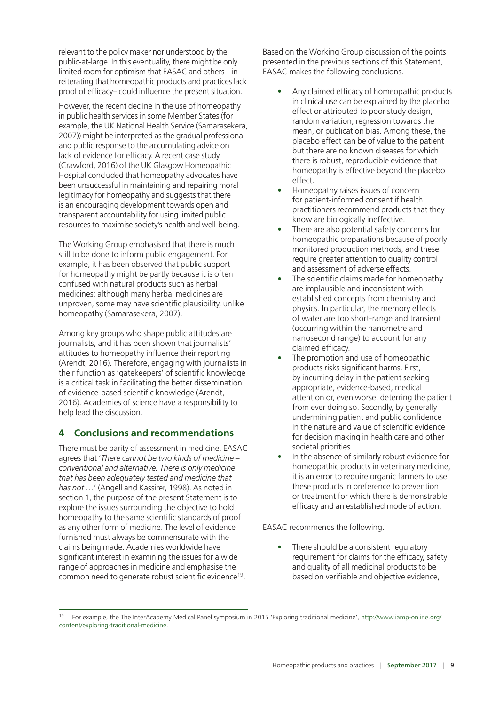<span id="page-8-0"></span>relevant to the policy maker nor understood by the public-at-large. In this eventuality, there might be only limited room for optimism that EASAC and others – in reiterating that homeopathic products and practices lack proof of efficacy– could influence the present situation.

However, the recent decline in the use of homeopathy in public health services in some Member States (for example, the UK National Health Service (Samarasekera, 2007)) might be interpreted as the gradual professional and public response to the accumulating advice on lack of evidence for efficacy. A recent case study (Crawford, 2016) of the UK Glasgow Homeopathic Hospital concluded that homeopathy advocates have been unsuccessful in maintaining and repairing moral legitimacy for homeopathy and suggests that there is an encouraging development towards open and transparent accountability for using limited public resources to maximise society's health and well-being.

The Working Group emphasised that there is much still to be done to inform public engagement. For example, it has been observed that public support for homeopathy might be partly because it is often confused with natural products such as herbal medicines; although many herbal medicines are unproven, some may have scientific plausibility, unlike homeopathy (Samarasekera, 2007).

Among key groups who shape public attitudes are journalists, and it has been shown that journalists' attitudes to homeopathy influence their reporting (Arendt, 2016). Therefore, engaging with journalists in their function as 'gatekeepers' of scientific knowledge is a critical task in facilitating the better dissemination of evidence-based scientific knowledge (Arendt, 2016). Academies of science have a responsibility to help lead the discussion.

## **4 Conclusions and recommendations**

There must be parity of assessment in medicine. EASAC agrees that '*There cannot be two kinds of medicine – conventional and alternative. There is only medicine that has been adequately tested and medicine that has not …*' (Angell and Kassirer, 1998). As noted in section 1, the purpose of the present Statement is to explore the issues surrounding the objective to hold homeopathy to the same scientific standards of proof as any other form of medicine. The level of evidence furnished must always be commensurate with the claims being made. Academies worldwide have significant interest in examining the issues for a wide range of approaches in medicine and emphasise the common need to generate robust scientific evidence<sup>19</sup>.

Based on the Working Group discussion of the points presented in the previous sections of this Statement, EASAC makes the following conclusions.

- Any claimed efficacy of homeopathic products in clinical use can be explained by the placebo effect or attributed to poor study design, random variation, regression towards the mean, or publication bias. Among these, the placebo effect can be of value to the patient but there are no known diseases for which there is robust, reproducible evidence that homeopathy is effective beyond the placebo effect.
- Homeopathy raises issues of concern for patient-informed consent if health practitioners recommend products that they know are biologically ineffective.
- There are also potential safety concerns for homeopathic preparations because of poorly monitored production methods, and these require greater attention to quality control and assessment of adverse effects.
- The scientific claims made for homeopathy are implausible and inconsistent with established concepts from chemistry and physics. In particular, the memory effects of water are too short-range and transient (occurring within the nanometre and nanosecond range) to account for any claimed efficacy.
- The promotion and use of homeopathic products risks significant harms. First, by incurring delay in the patient seeking appropriate, evidence-based, medical attention or, even worse, deterring the patient from ever doing so. Secondly, by generally undermining patient and public confidence in the nature and value of scientific evidence for decision making in health care and other societal priorities.
- In the absence of similarly robust evidence for homeopathic products in veterinary medicine, it is an error to require organic farmers to use these products in preference to prevention or treatment for which there is demonstrable efficacy and an established mode of action.

EASAC recommends the following.

• There should be a consistent regulatory requirement for claims for the efficacy, safety and quality of all medicinal products to be based on verifiable and objective evidence,

<sup>19</sup> For example, the The InterAcademy Medical Panel symposium in 2015 'Exploring traditional medicine', [http://www.iamp-online.org/](http://www.iamp-online.org/content/exploring-traditional-medicine) [content/exploring-traditional-medicine.](http://www.iamp-online.org/content/exploring-traditional-medicine)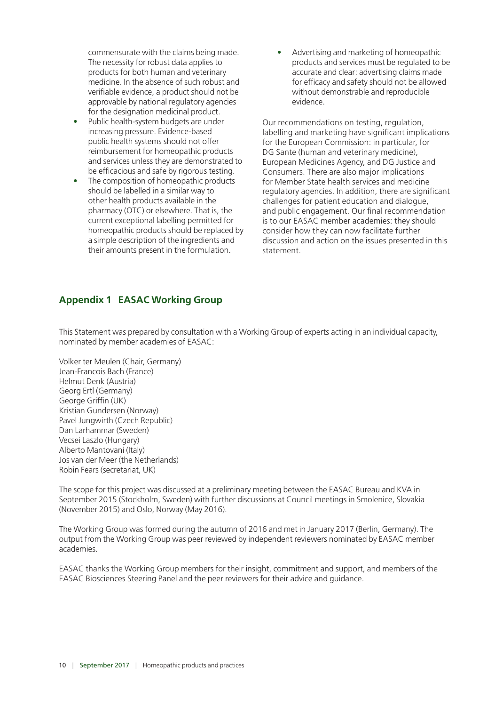<span id="page-9-0"></span>commensurate with the claims being made. The necessity for robust data applies to products for both human and veterinary medicine. In the absence of such robust and verifiable evidence, a product should not be approvable by national regulatory agencies for the designation medicinal product.

- Public health-system budgets are under increasing pressure. Evidence-based public health systems should not offer reimbursement for homeopathic products and services unless they are demonstrated to be efficacious and safe by rigorous testing.
- The composition of homeopathic products should be labelled in a similar way to other health products available in the pharmacy (OTC) or elsewhere. That is, the current exceptional labelling permitted for homeopathic products should be replaced by a simple description of the ingredients and their amounts present in the formulation.

• Advertising and marketing of homeopathic products and services must be regulated to be accurate and clear: advertising claims made for efficacy and safety should not be allowed without demonstrable and reproducible evidence.

Our recommendations on testing, regulation, labelling and marketing have significant implications for the European Commission: in particular, for DG Sante (human and veterinary medicine), European Medicines Agency, and DG Justice and Consumers. There are also major implications for Member State health services and medicine regulatory agencies. In addition, there are significant challenges for patient education and dialogue, and public engagement. Our final recommendation is to our EASAC member academies: they should consider how they can now facilitate further discussion and action on the issues presented in this statement.

## **Appendix 1 EASAC Working Group**

This Statement was prepared by consultation with a Working Group of experts acting in an individual capacity, nominated by member academies of EASAC:

Volker ter Meulen (Chair, Germany) Jean-Francois Bach (France) Helmut Denk (Austria) Georg Ertl (Germany) George Griffin (UK) Kristian Gundersen (Norway) Pavel Jungwirth (Czech Republic) Dan Larhammar (Sweden) Vecsei Laszlo (Hungary) Alberto Mantovani (Italy) Jos van der Meer (the Netherlands) Robin Fears (secretariat, UK)

The scope for this project was discussed at a preliminary meeting between the EASAC Bureau and KVA in September 2015 (Stockholm, Sweden) with further discussions at Council meetings in Smolenice, Slovakia (November 2015) and Oslo, Norway (May 2016).

The Working Group was formed during the autumn of 2016 and met in January 2017 (Berlin, Germany). The output from the Working Group was peer reviewed by independent reviewers nominated by EASAC member academies.

EASAC thanks the Working Group members for their insight, commitment and support, and members of the EASAC Biosciences Steering Panel and the peer reviewers for their advice and guidance.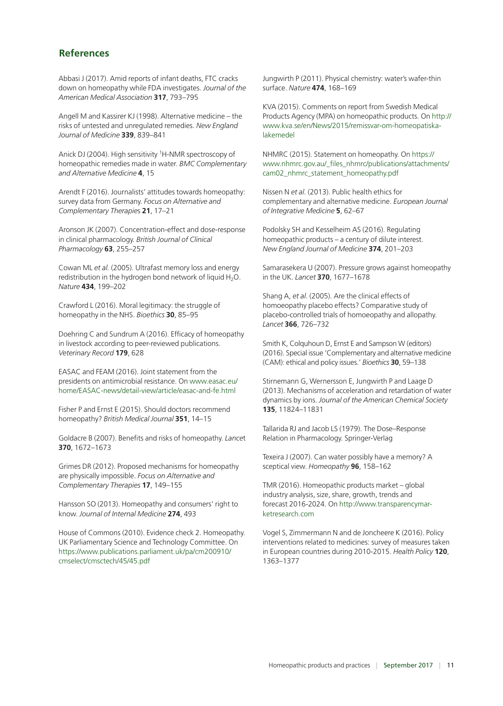#### <span id="page-10-0"></span>**References**

Abbasi J (2017). Amid reports of infant deaths, FTC cracks down on homeopathy while FDA investigates. *Journal of the American Medical Association* **317**, 793–795

Angell M and Kassirer KJ (1998). Alternative medicine – the risks of untested and unregulated remedies. *New England Journal of Medicine* **339**, 839–841

Anick DJ (2004). High sensitivity <sup>1</sup>H-NMR spectroscopy of homeopathic remedies made in water. *BMC Complementary and Alternative Medicine* **4**, 15

Arendt F (2016). Journalists' attitudes towards homeopathy: survey data from Germany. *Focus on Alternative and Complementary Therapie*s **21**, 17–21

Aronson JK (2007). Concentration-effect and dose-response in clinical pharmacology. *British Journal of Clinical Pharmacology* **63**, 255–257

Cowan ML *et al.* (2005). Ultrafast memory loss and energy redistribution in the hydrogen bond network of liquid  $H_2O$ . *Nature* **434**, 199–202

Crawford L (2016). Moral legitimacy: the struggle of homeopathy in the NHS. *Bioethics* **30**, 85–95

Doehring C and Sundrum A (2016). Efficacy of homeopathy in livestock according to peer-reviewed publications. *Veterinary Record* **179**, 628

EASAC and FEAM (2016). Joint statement from the presidents on antimicrobial resistance. On www.easac.eu/ home/EASAC-news/detail-view/article/easac-and-fe.html

Fisher P and Ernst E (2015). Should doctors recommend homeopathy? *British Medical Journal* **351**, 14–15

Goldacre B (2007). Benefits and risks of homeopathy. *Lance*t **370**, 1672–1673

Grimes DR (2012). Proposed mechanisms for homeopathy are physically impossible. *Focus on Alternative and Complementary Therapies* **17**, 149–155

Hansson SO (2013). Homeopathy and consumers' right to know. *Journal of Internal Medicine* **274**, 493

House of Commons (2010). Evidence check 2. Homeopathy. UK Parliamentary Science and Technology Committee. On https://www.publications.parliament.uk/pa/cm200910/ cmselect/cmsctech/45/45.pdf

Jungwirth P (2011). Physical chemistry: water's wafer-thin surface. *Nature* **474**, 168–169

KVA (2015). Comments on report from Swedish Medical Products Agency (MPA) on homeopathic products. On http:// www.kva.se/en/News/2015/remissvar-om-homeopatiskalakemedel

NHMRC (2015). Statement on homeopathy. On https:// www.nhmrc.gov.au/\_files\_nhmrc/publications/attachments/ cam02\_nhmrc\_statement\_homeopathy.pdf

Nissen N *et al.* (2013). Public health ethics for complementary and alternative medicine. *European Journal of Integrative Medicine* **5**, 62–67

Podolsky SH and Kesselheim AS (2016). Regulating homeopathic products – a century of dilute interest. *New England Journal of Medicine* **374**, 201–203

Samarasekera U (2007). Pressure grows against homeopathy in the UK. *Lancet* **370**, 1677–1678

Shang A, *et al.* (2005). Are the clinical effects of homoeopathy placebo effects? Comparative study of placebo-controlled trials of homoeopathy and allopathy. *Lancet* **366**, 726–732

Smith K, Colquhoun D, Ernst E and Sampson W (editors) (2016). Special issue 'Complementary and alternative medicine (CAM): ethical and policy issues.' *Bioethics* **30**, 59–138

Stirnemann G, Wernersson E, Jungwirth P and Laage D (2013). Mechanisms of acceleration and retardation of water dynamics by ions. *Journal of the American Chemical Society* **135**, 11824–11831

Tallarida RJ and Jacob LS (1979). The Dose–Response Relation in Pharmacology. Springer-Verlag

Texeira J (2007). Can water possibly have a memory? A sceptical view. *Homeopathy* **96**, 158–162

TMR (2016). Homeopathic products market – global industry analysis, size, share, growth, trends and forecast 2016-2024. On http://www.transparencymarketresearch.com

Vogel S, Zimmermann N and de Joncheere K (2016). Policy interventions related to medicines: survey of measures taken in European countries during 2010-2015. *Health Policy* **120**, 1363–1377